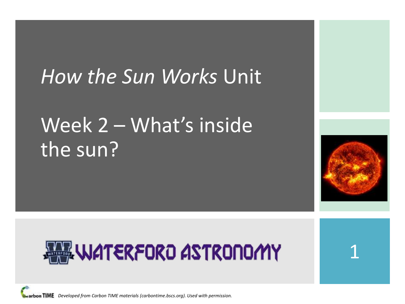#### *How the Sun Works* Unit

#### Week 2 – What's inside the sun?





1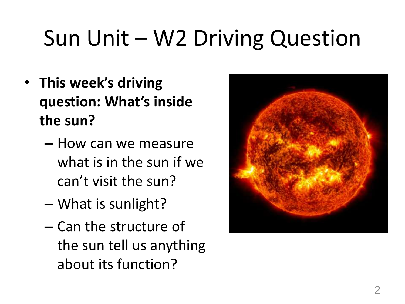# Sun Unit – W2 Driving Question

- **This week's driving question: What's inside the sun?**
	- How can we measure what is in the sun if we can't visit the sun?
	- What is sunlight?
	- Can the structure of the sun tell us anything about its function?

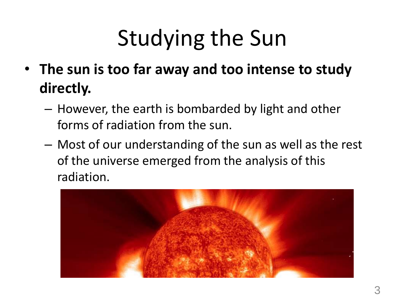# Studying the Sun

- **The sun is too far away and too intense to study directly.** 
	- However, the earth is bombarded by light and other forms of radiation from the sun.
	- Most of our understanding of the sun as well as the rest of the universe emerged from the analysis of this radiation.

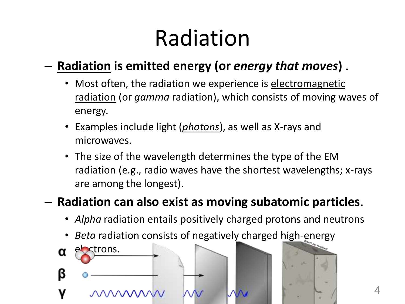# Radiation

#### – **Radiation is emitted energy (or** *energy that moves***)** .

- Most often, the radiation we experience is electromagnetic radiation (or *gamma* radiation), which consists of moving waves of energy.
- Examples include light (*photons*), as well as X-rays and microwaves.
- The size of the wavelength determines the type of the EM radiation (e.g., radio waves have the shortest wavelengths; x-rays are among the longest).

#### – **Radiation can also exist as moving subatomic particles**.

- *Alpha* radiation entails positively charged protons and neutrons
- *Beta* radiation consists of negatively charged high-energy

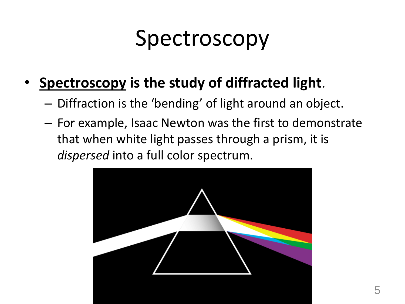## Spectroscopy

- **Spectroscopy is the study of diffracted light**.
	- Diffraction is the 'bending' of light around an object.
	- For example, Isaac Newton was the first to demonstrate that when white light passes through a prism, it is *dispersed* into a full color spectrum.

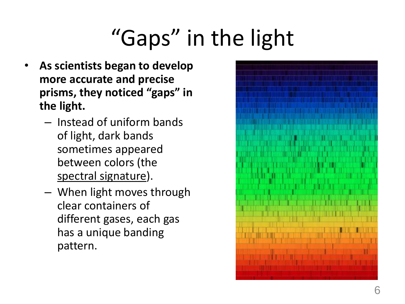# "Gaps" in the light

- **As scientists began to develop more accurate and precise prisms, they noticed "gaps" in the light.** 
	- Instead of uniform bands of light, dark bands sometimes appeared between colors (the spectral signature).
	- When light moves through clear containers of different gases, each gas has a unique banding pattern.

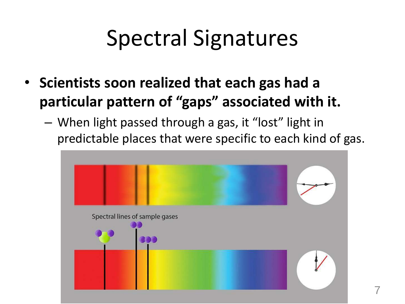## Spectral Signatures

- **Scientists soon realized that each gas had a particular pattern of "gaps" associated with it.**
	- When light passed through a gas, it "lost" light in predictable places that were specific to each kind of gas.

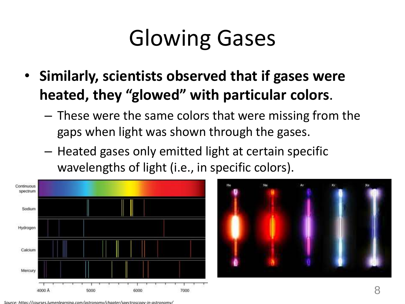# Glowing Gases

- **Similarly, scientists observed that if gases were heated, they "glowed" with particular colors**.
	- These were the same colors that were missing from the gaps when light was shown through the gases.
	- Heated gases only emitted light at certain specific wavelengths of light (i.e., in specific colors).



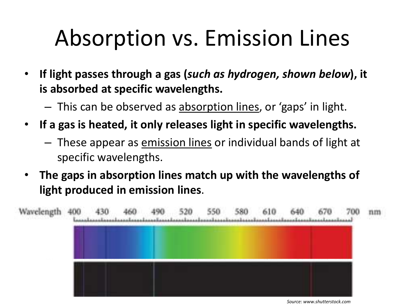# Absorption vs. Emission Lines

- **If light passes through a gas (***such as hydrogen, shown below***), it is absorbed at specific wavelengths.** 
	- This can be observed as absorption lines, or 'gaps' in light.
- **If a gas is heated, it only releases light in specific wavelengths.** 
	- These appear as emission lines or individual bands of light at specific wavelengths.
- **The gaps in absorption lines match up with the wavelengths of light produced in emission lines**.



*Source: www.shutterstock.com*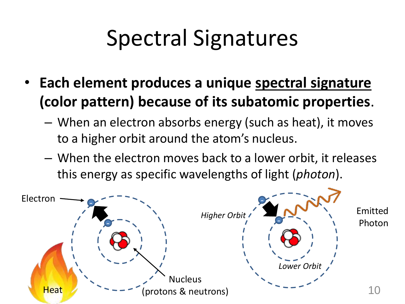## Spectral Signatures

- **Each element produces a unique spectral signature (color pattern) because of its subatomic properties**.
	- When an electron absorbs energy (such as heat), it moves to a higher orbit around the atom's nucleus.
	- When the electron moves back to a lower orbit, it releases this energy as specific wavelengths of light (*photon*).

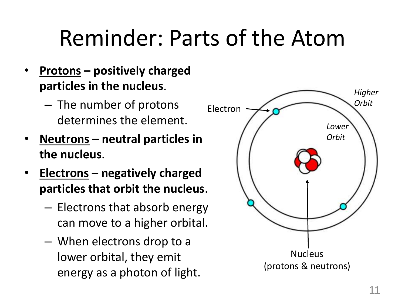### Reminder: Parts of the Atom

- **Protons – positively charged particles in the nucleus**.
	- The number of protons determines the element.
- **Neutrons – neutral particles in the nucleus**.
- **Electrons – negatively charged particles that orbit the nucleus**.
	- Electrons that absorb energy can move to a higher orbital.
	- When electrons drop to a lower orbital, they emit energy as a photon of light.

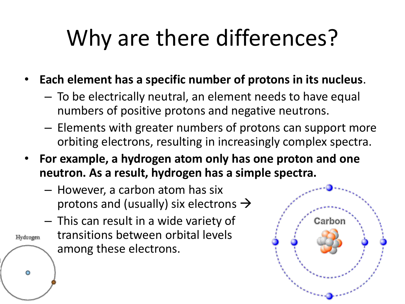# Why are there differences?

- **Each element has a specific number of protons in its nucleus**.
	- To be electrically neutral, an element needs to have equal numbers of positive protons and negative neutrons.
	- Elements with greater numbers of protons can support more orbiting electrons, resulting in increasingly complex spectra.
- **For example, a hydrogen atom only has one proton and one neutron. As a result, hydrogen has a simple spectra.** 
	- However, a carbon atom has six protons and (usually) six electrons  $\rightarrow$
- This can result in a wide variety of transitions between orbital levels Hydrogen among these electrons.

 $\bullet$ 

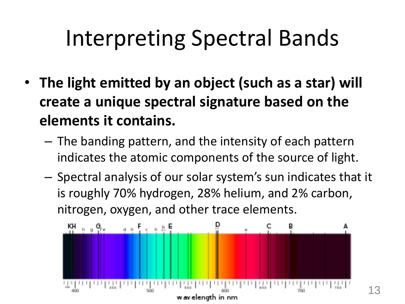# Interpreting Spectral Bands

- **The light emitted by an object (such as a star) will create a unique spectral signature based on the elements it contains.**
	- The banding pattern, and the intensity of each pattern indicates the atomic components of the source of light.
	- Spectral analysis of our solar system's sun indicates that it is roughly 70% hydrogen, 28% helium, and 2% carbon, nitrogen, oxygen, and other trace elements.